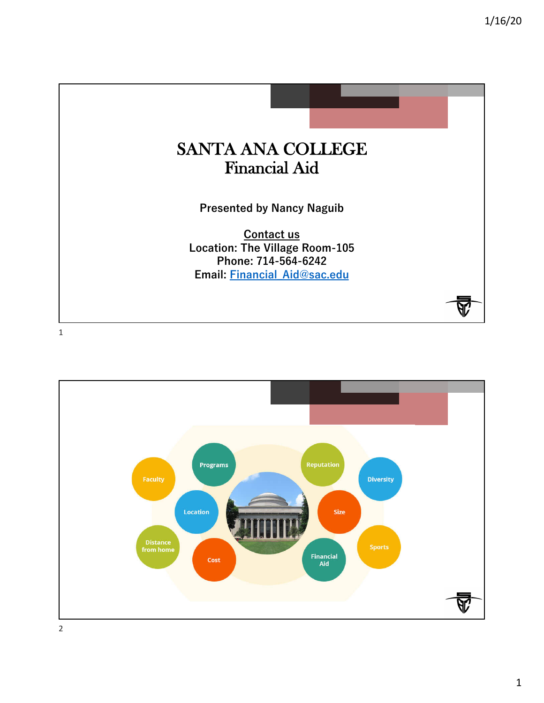

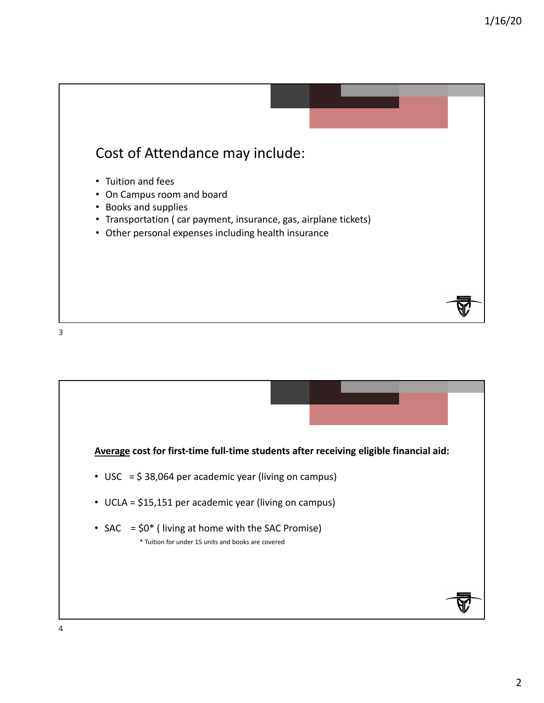

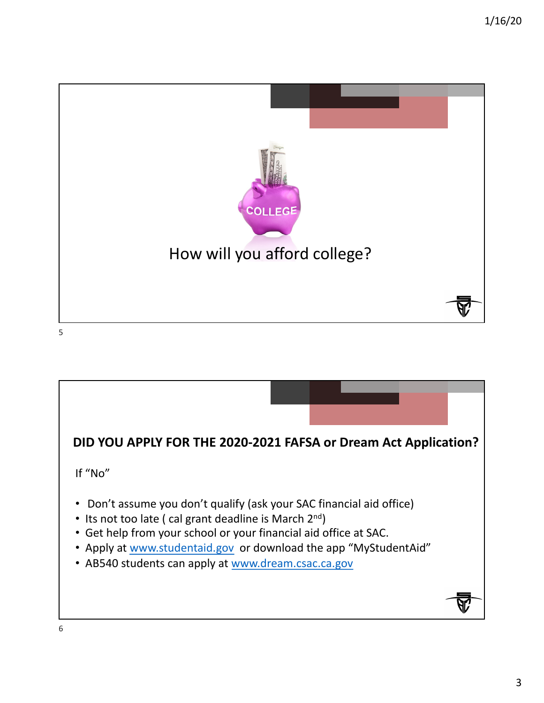

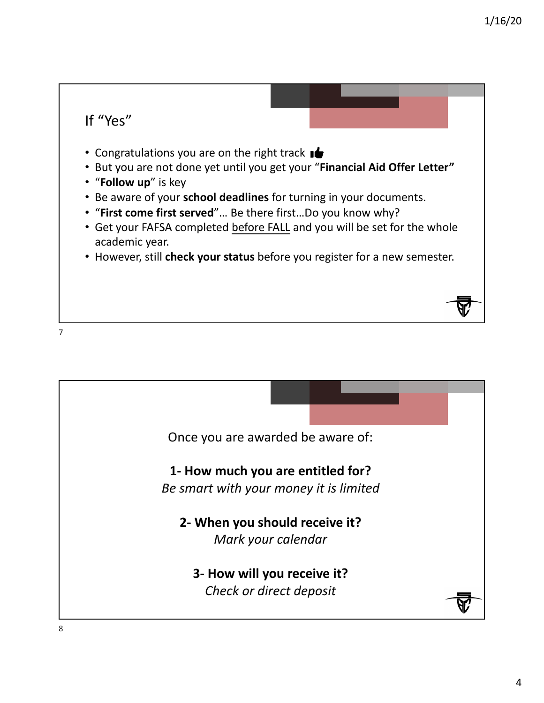

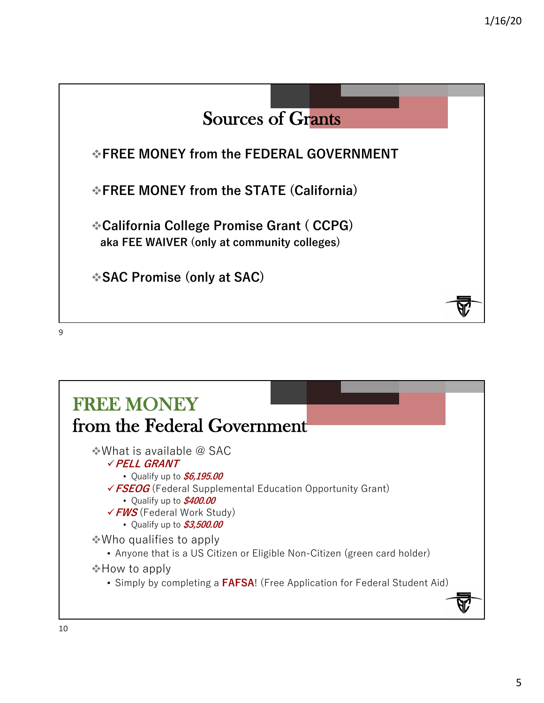

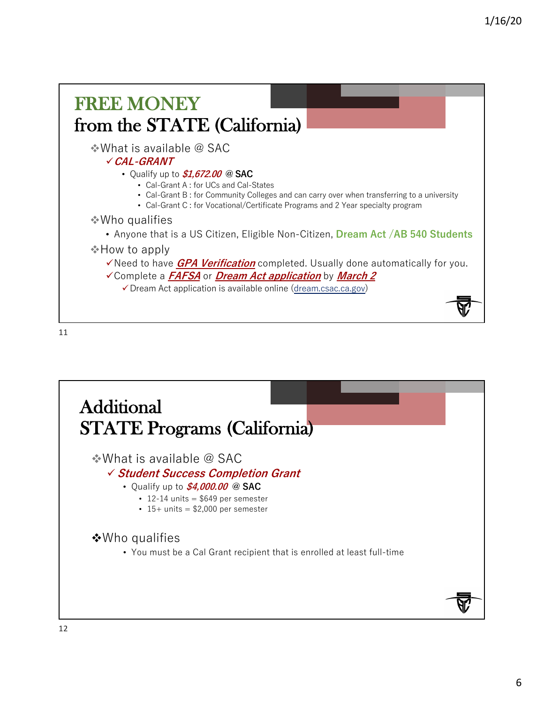

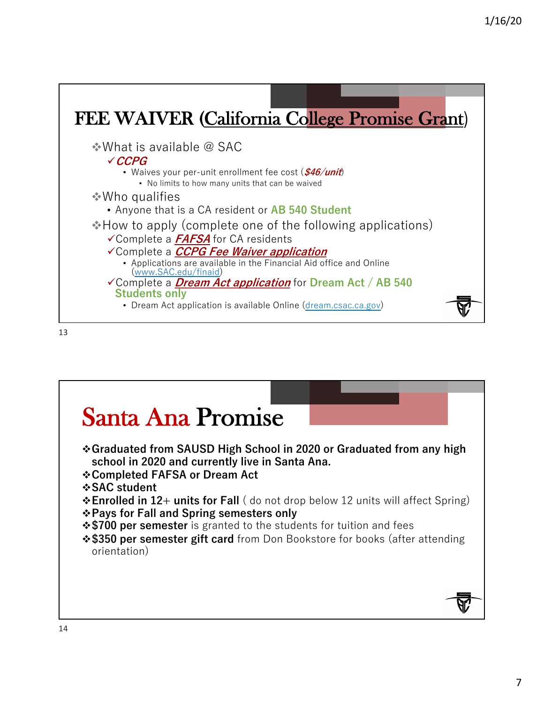

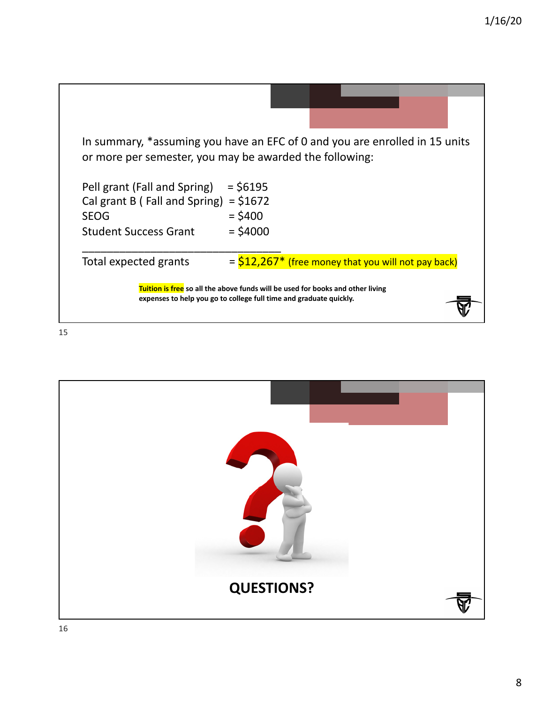